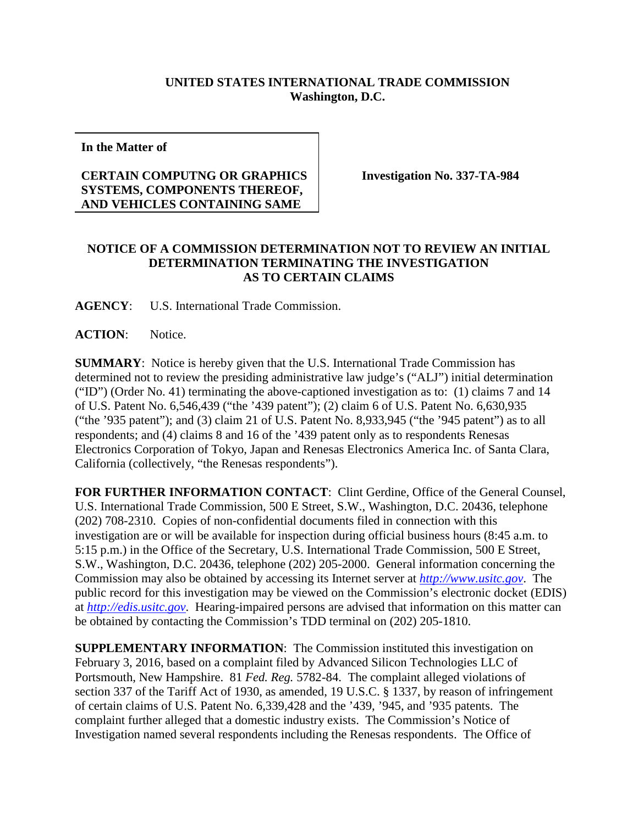## **UNITED STATES INTERNATIONAL TRADE COMMISSION Washington, D.C.**

**In the Matter of**

## **CERTAIN COMPUTNG OR GRAPHICS SYSTEMS, COMPONENTS THEREOF, AND VEHICLES CONTAINING SAME**

**Investigation No. 337-TA-984**

## **NOTICE OF A COMMISSION DETERMINATION NOT TO REVIEW AN INITIAL DETERMINATION TERMINATING THE INVESTIGATION AS TO CERTAIN CLAIMS**

**AGENCY**: U.S. International Trade Commission.

**ACTION**: Notice.

**SUMMARY**: Notice is hereby given that the U.S. International Trade Commission has determined not to review the presiding administrative law judge's ("ALJ") initial determination ("ID") (Order No. 41) terminating the above-captioned investigation as to: (1) claims 7 and 14 of U.S. Patent No. 6,546,439 ("the '439 patent"); (2) claim 6 of U.S. Patent No. 6,630,935 ("the '935 patent"); and (3) claim 21 of U.S. Patent No. 8,933,945 ("the '945 patent") as to all respondents; and (4) claims 8 and 16 of the '439 patent only as to respondents Renesas Electronics Corporation of Tokyo, Japan and Renesas Electronics America Inc. of Santa Clara, California (collectively, "the Renesas respondents").

**FOR FURTHER INFORMATION CONTACT**: Clint Gerdine, Office of the General Counsel, U.S. International Trade Commission, 500 E Street, S.W., Washington, D.C. 20436, telephone (202) 708-2310. Copies of non-confidential documents filed in connection with this investigation are or will be available for inspection during official business hours (8:45 a.m. to 5:15 p.m.) in the Office of the Secretary, U.S. International Trade Commission, 500 E Street, S.W., Washington, D.C. 20436, telephone (202) 205-2000. General information concerning the Commission may also be obtained by accessing its Internet server at *[http://www.usitc.gov](http://www.usitc.gov/)*. The public record for this investigation may be viewed on the Commission's electronic docket (EDIS) at *[http://edis.usitc.gov](http://edis.usitc.gov/)*. Hearing-impaired persons are advised that information on this matter can be obtained by contacting the Commission's TDD terminal on (202) 205-1810.

**SUPPLEMENTARY INFORMATION**: The Commission instituted this investigation on February 3, 2016, based on a complaint filed by Advanced Silicon Technologies LLC of Portsmouth, New Hampshire. 81 *Fed. Reg.* 5782-84. The complaint alleged violations of section 337 of the Tariff Act of 1930, as amended, 19 U.S.C. § 1337, by reason of infringement of certain claims of U.S. Patent No. 6,339,428 and the '439, '945, and '935 patents. The complaint further alleged that a domestic industry exists. The Commission's Notice of Investigation named several respondents including the Renesas respondents. The Office of